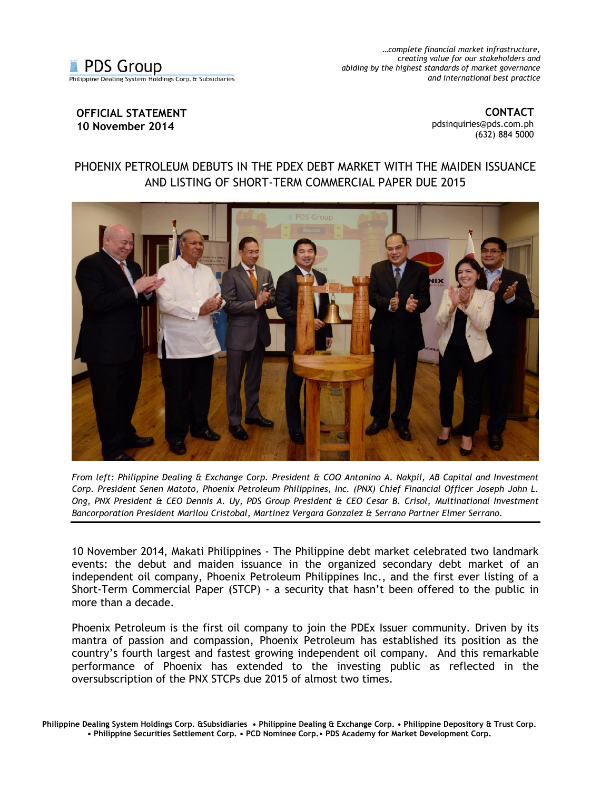

*…complete financial market infrastructure, creating value for our stakeholders and abiding by the highest standards of market governance and international best practice*

## **OFFICIAL STATEMENT 10 November 2014**

**CONTACT** [pdsinquiries@pds.com.ph](mailto:pdsinquiries@pds.com.ph) (632) 884 5000

## PHOENIX PETROLEUM DEBUTS IN THE PDEX DEBT MARKET WITH THE MAIDEN ISSUANCE AND LISTING OF SHORT-TERM COMMERCIAL PAPER DUE 2015



*From left: Philippine Dealing & Exchange Corp. President & COO Antonino A. Nakpil, AB Capital and Investment Corp. President Senen Matoto, Phoenix Petroleum Philippines, Inc. (PNX) Chief Financial Officer Joseph John L. Ong, PNX President & CEO Dennis A. Uy, PDS Group President & CEO Cesar B. Crisol, Multinational Investment Bancorporation President Marilou Cristobal, Martinez Vergara Gonzalez & Serrano Partner Elmer Serrano.* 

10 November 2014, Makati Philippines - The Philippine debt market celebrated two landmark events: the debut and maiden issuance in the organized secondary debt market of an independent oil company, Phoenix Petroleum Philippines Inc., and the first ever listing of a Short-Term Commercial Paper (STCP) - a security that hasn't been offered to the public in more than a decade.

Phoenix Petroleum is the first oil company to join the PDEx Issuer community. Driven by its mantra of passion and compassion, Phoenix Petroleum has established its position as the country's fourth largest and fastest growing independent oil company. And this remarkable performance of Phoenix has extended to the investing public as reflected in the oversubscription of the PNX STCPs due 2015 of almost two times.

**Philippine Dealing System Holdings Corp. &Subsidiaries • Philippine Dealing & Exchange Corp. • Philippine Depository & Trust Corp. • Philippine Securities Settlement Corp. • PCD Nominee Corp.• PDS Academy for Market Development Corp.**